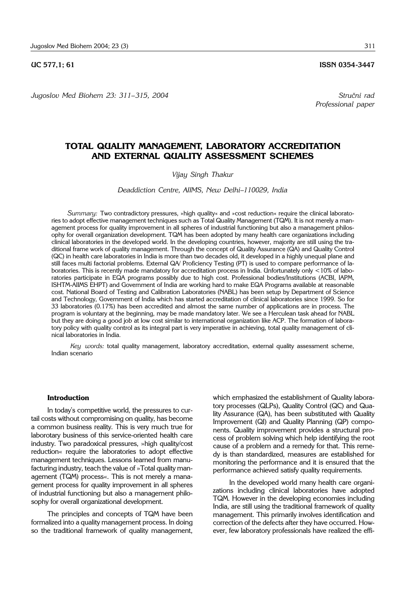*Jugoslov Med Biohem 23: 311– 315, 2004 Stru~ni rad*

# **TOTAL QUALITY MANAGEMENT, LABORATORY ACCREDITATION AND EXTERNAL QUALITY ASSESSMENT SCHEMES**

# *Vijay Singh Thakur*

*Deaddiction Centre, AIIMS, New Delhi-110029, India*

*Summary:* Two contradictory pressures, »high quality« and »cost reduction« require the clinical laboratories to adopt effective management techniques such as Total Quality Management (TQM). It is not merely a management process for quality improvement in all spheres of industrial functioning but also a management philosophy for overall organization development. TQM has been adopted by many health care organizations including clinical laboratories in the developed world. In the developing countries, however, majority are still using the traditional frame work of quality management. Through the concept of Quality Assurance (QA) and Quality Control (QC) in health care laboratories in India is more than two decades old, it developed in a highly unequal plane and still faces multi factorial problems. External QA/ Proficiency Testing (PT) is used to compare performance of laboratories. This is recently made mandatory for accreditation process in India. Unfortunately only <10% of laboratories participate in EQA programs possibly due to high cost. Professional bodies/Institutions (ACBI, IAPM, ISHTM-AIIMS EHPT) and Government of India are working hard to make EQA Programs available at reasonable cost. National Board of Testing and Calibration Laboratories (NABL) has been setup by Department of Science and Technology, Government of India which has started accreditation of clinical laboratories since 1999. So for 33 laboratories (0.17%) has been accredited and almost the same number of applications are in process. The program is voluntary at the beginning, may be made mandatory later. We see a Herculean task ahead for NABL but they are doing a good job at low cost similar to international organization like ACP. The formation of laboratory policy with quality control as its integral part is very imperative in achieving, total quality management of clinical laboratories in India.

*Key words:* total quality management, laboratory accreditation, external quality assessment scheme, Indian scenario

## **Introduction**

In today's competitive world, the pressures to curtail costs without compromising on quality, has become a common business reality. This is very much true for laborotary business of this service-oriented health care industry. Two paradoxical pressures, »high quality/cost reduction« require the laboratories to adopt effective management techniques. Lessons learned from manufacturing industry, teach the value of »Total quality management (TQM) process«. This is not merely a management process for quality improvement in all spheres of industrial functioning but also a management philosophy for overall organizational development.

The principles and concepts of TQM have been formalized into a quality management process. In doing so the traditional framework of quality management,

which emphasized the establishment of Quality laboratory processes (QLPs), Quality Control (QC) and Quality Assurance (QA), has been substituted with Quality Improvement (QI) and Quality Planning (QP) components. Quality improvement provides a structural process of problem solving which help identifying the root cause of a problem and a remedy for that. This remedy is than standardized, measures are established for monitoring the performance and it is ensured that the performance achieved satisfy quality requirements.

In the developed world many health care organizations including clinical laboratories have adopted TQM. However in the developing economies including India, are still using the traditional framework of quality management. This primarily involves identification and correction of the defects after they have occurred. However, few laboratory professionals have realized the effi-

**UC 577.1; 61 ISSN 0354-3447** 

*Professional paper*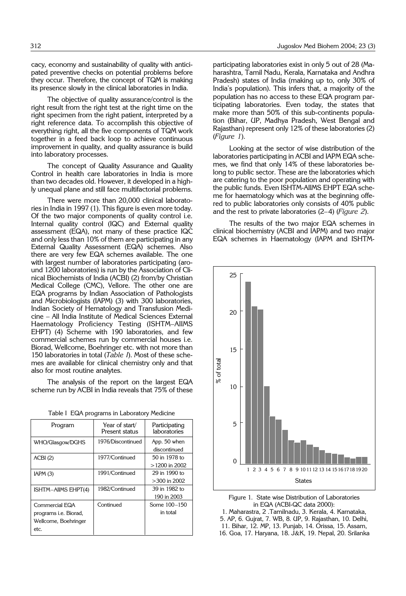cacy, economy and sustainability of quality with anticipated preventive checks on potential problems before they occur. Therefore, the concept of TQM is making its presence slowly in the clinical laboratories in India.

The objective of quality assurance/control is the right result from the right test at the right time on the right specimen from the right patient, interpreted by a right reference data. To accomplish this objective of everything right, all the five components of TQM work together in a feed back loop to achieve continuous improvement in quality, and quality assurance is build into laboratory processes.

The concept of Quality Assurance and Quality Control in health care laboratories in India is more than two decades old. However, it developed in a highly unequal plane and still face multifactorial problems.

There were more than 20,000 clinical laboratories in India in 1997 (1). This figure is even more today. Of the two major components of quality control i.e. Internal quality control (IQC) and External quality assessment (EQA), not many of these practice IQC and only less than 10% of them are participating in any External Quality Assessment (EQA) schemes. Also there are very few EQA schemes available. The one with largest number of laboratories participating (around 1200 laboratories) is run by the Association of Clinical Biochemists of India (ACBI) (2) from/by Christian Medical College (CMC), Vellore. The other one are EQA programs by Indian Association of Pathologists and Microbiologists (IAPM) (3) with 300 laboratories, Indian Society of Hematology and Transfusion Medicine – All India Institute of Medical Sciences External Haematology Proficiency Testing (ISHTM–AIIMS EHPT) (4) Scheme with 190 laboratories, and few commercial schemes run by commercial houses i.e. Biorad, Wellcome, Boehringer etc. with not more than 150 laboratories in total (*Table I*). Most of these schemes are available for clinical chemistry only and that also for most routine analytes.

The analysis of the report on the largest EQA scheme run by ACBI in India reveals that 75% of these

|  |  |  |  | Table I EQA programs in Laboratory Medicine |  |
|--|--|--|--|---------------------------------------------|--|
|--|--|--|--|---------------------------------------------|--|

| Program                                                                        | Year of start/<br>Present status | Participating<br>laboratories    |
|--------------------------------------------------------------------------------|----------------------------------|----------------------------------|
| WHO/Glasgow/DGHS                                                               | 1976/Discontinued                | App. 50 when<br>discontinued     |
| ACBI(2)                                                                        | 1977/Continued                   | 50 in 1978 to<br>$>1200$ in 2002 |
| IAPM(3)                                                                        | 1991/Continued                   | 29 in 1990 to<br>$>300$ in 2002  |
| ISHTM-AIIMS EHPT(4)                                                            | 1982/Continued                   | 39 in 1982 to<br>190 in 2003     |
| Commercial EQA<br>programs <i>i.e.</i> Biorad,<br>Wellcome, Boehringer<br>etc. | Continued                        | Some 100-150<br>in total         |

participating laboratories exist in only 5 out of 28 (Maharashtra, Tamil Nadu, Kerala, Karnataka and Andhra Pradesh) states of India (making up to, only 30% of India's population). This infers that, a majority of the population has no access to these EQA program participating laboratories. Even today, the states that make more than 50% of this sub-continents population (Bihar, UP, Madhya Pradesh, West Bengal and Rajasthan) represent only 12% of these laboratories (2) (*Figure 1*).

Looking at the sector of wise distribution of the laboratories participating in ACBI and IAPM EQA schemes, we find that only 14% of these laboratories belong to public sector. These are the laboratories which are catering to the poor population and operating with the public funds. Even ISHTM-AIIMS EHPT EQA scheme for haematology which was at the beginning offered to public laboratories only consists of 40% public and the rest to private laboratories (2–4) (*Figure 2*).

The results of the two major EQA schemes in clinical biochemistry (ACBI and IAPM) and two major EQA schemes in Haematology (IAPM and ISHTM-



Figure 1. State wise Distribution of Laboratories in EQA (ACBI-QC data 2000):

1. Maharastra, 2 .Tamilnadu, 3. Kerala, 4. Karnataka, 5. AP, 6. Gujrat, 7. WB, 8. UP, 9. Rajasthan, 10. Delhi, 11. Bihar, 12. MP, 13. Punjab, 14. Orissa, 15. Assam, 16. Goa, 17. Haryana, 18. J&K, 19. Nepal, 20. Srilanka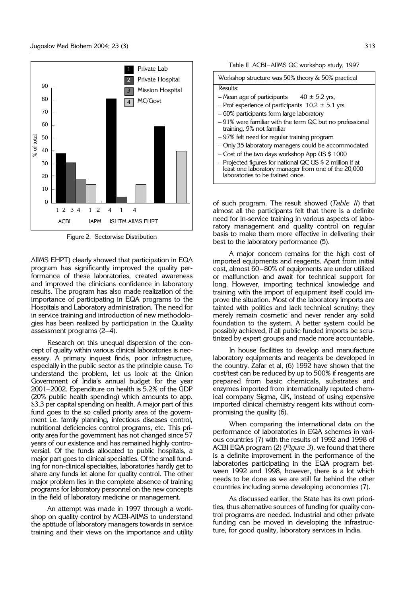

Figure 2. Sectorwise Distribution

AIIMS EHPT) clearly showed that participation in EQA program has significantly improved the quality performance of these laboratories, created awareness and improved the clinicians confidence in laboratory results. The program has also made realization of the importance of participating in EQA programs to the Hospitals and Laboratory administration. The need for in service training and introduction of new methodologies has been realized by participation in the Quality assessment programs (2–4).

Research on this unequal dispersion of the concept of quality within various clinical laboratories is necessary. A primary inquest finds, poor infrastructure, especially in the public sector as the principle cause. To understand the problem, let us look at the Union Government of India's annual budget for the year 2001–2002. Expenditure on health is 5.2% of the GDP (20% public health spending) which amounts to app. \$3.3 per capital spending on health. A major part of this fund goes to the so called priority area of the government i.e. family planning, infectious diseases control, nutritional deficiencies control programs, etc. This priority area for the government has not changed since 57 years of our existence and has remained highly controversial. Of the funds allocated to public hospitals, a major part goes to clinical specialties. Of the small funding for non-clinical specialties, laboratories hardly get to share any funds let alone for quality control. The other major problem lies in the complete absence of training programs for laboratory personnel on the new concepts in the field of laboratory medicine or management.

An attempt was made in 1997 through a workshop on quality control by ACBI-AIIMS to understand the aptitude of laboratory managers towards in service training and their views on the importance and utility



|  | Workshop structure was 50% theory $\&$ 50% practical |
|--|------------------------------------------------------|
|--|------------------------------------------------------|

#### Results:

- Mean age of participants  $40 \pm 5.2$  yrs,
- Prof experience of participants  $10.2 \pm 5.1$  yrs
- 60% participants form large laboratory
- 91% were familiar with the term QC but no professional training, 9% not familiar
- 97% felt need for regular training program
- Only 35 laboratory managers could be accommodated – Cost of the two days workshop App US \$ 1000
- Projected figures for national QC US \$ 2 million if at
- least one laboratory manager from one of the 20,000 laboratories to be trained once.

of such program. The result showed (*Table II*) that almost all the participants felt that there is a definite need for in-service training in various aspects of laboratory management and quality control on regular basis to make them more effective in delivering their best to the laboratory performance (5).

A major concern remains for the high cost of imported equipments and reagents. Apart from initial cost, almost 60–80% of equipments are under utilized or malfunction and await for technical support for long. However, importing technical knowledge and training with the import of equipment itself could improve the situation. Most of the laboratory imports are tainted with politics and lack technical scrutiny; they merely remain cosmetic and never render any solid foundation to the system. A better system could be possibly achieved, if all public funded imports be scrutinized by expert groups and made more accountable.

In house facilities to develop and manufacture laboratory equipments and reagents be developed in the country. Zafar et al, (6) 1992 have shown that the cost/test can be reduced by up to 500% if reagents are prepared from basic chemicals, substrates and enzymes imported from internationally reputed chemical company Sigma, UK, instead of using expensive imported clinical chemistry reagent kits without compromising the quality (6).

When comparing the international data on the performance of laboratories in EQA schemes in various countries (7) with the results of 1992 and 1998 of ACBI EQA program (2) (*Figure 3*), we found that there is a definite improvement in the performance of the laboratories participating in the EQA program between 1992 and 1998, however, there is a lot which needs to be done as we are still far behind the other countries including some developing economies (7).

As discussed earlier, the State has its own priorities, thus alternative sources of funding for quality control programs are needed. Industrial and other private funding can be moved in developing the infrastructure, for good quality, laboratory services in India.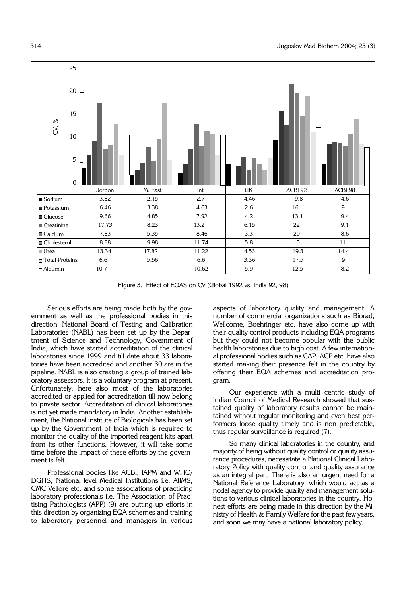

Figure 3. Effect of EQAS on CV (Global 1992 vs. India 92, 98)

Serious efforts are being made both by the government as well as the professional bodies in this direction. National Board of Testing and Calibration Laboratories (NABL) has been set up by the Department of Science and Technology, Government of India, which have started accreditation of the clinical laboratories since 1999 and till date about 33 laboratories have been accredited and another 30 are in the pipeline. NABL is also creating a group of trained laboratory assessors. It is a voluntary program at present. Unfortunately, here also most of the laboratories accredited or applied for accreditation till now belong to private sector. Accreditation of clinical laboratories is not yet made mandatory in India. Another establishment, the National institute of Biologicals has been set up by the Government of India which is required to monitor the quality of the imported reagent kits apart from its other functions. However, it will take some time before the impact of these efforts by the government is felt.

Professional bodies like ACBI, IAPM and WHO/ DGHS, National level Medical Institutions i.e. AIIMS, CMC Vellore etc. and some associations of practicing laboratory professionals i.e. The Association of Practising Pathologists (APP) (9) are putting up efforts in this direction by organizing EQA schemes and training to laboratory personnel and managers in various aspects of laboratory quality and management. A number of commercial organizations such as Biorad, Wellcome, Boehringer etc. have also come up with their quality control products including EQA programs but they could not become popular with the public health laboratories due to high cost. A few international professional bodies such as CAP, ACP etc. have also started making their presence felt in the country by offering their EQA schemes and accreditation program.

Our experience with a multi centric study of Indian Council of Medical Research showed that sustained quality of laboratory results cannot be maintained without regular monitoring and even best performers loose quality timely and is non predictable, thus regular surveillance is required (7).

So many clinical laboratories in the country, and majority of being without quality control or quality assurance procedures, necessitate a National Clinical Laboratory Policy with quality control and quality assurance as an integral part. There is also an urgent need for a National Reference Laboratory, which would act as a nodal agency to provide quality and management solutions to various clinical laboratories in the country. Honest efforts are being made in this direction by the Ministry of Health & Family Welfare for the past few years, and soon we may have a national laboratory policy.